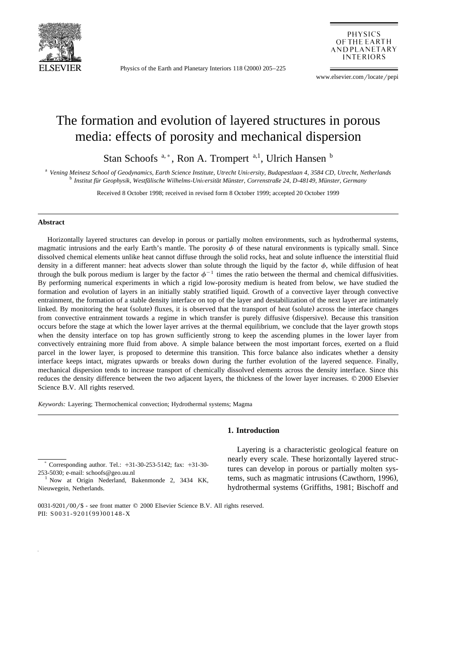

Physics of the Earth and Planetary Interiors  $118 (2000) 205 - 225$ 

**PHYSICS** OF THE EARTH **AND PLANETARY INTERIORS** 

www.elsevier.com/locate/pepi

# The formation and evolution of layered structures in porous media: effects of porosity and mechanical dispersion

Stan Schoofs<sup>a,\*</sup>, Ron A. Trompert<sup>a,1</sup>, Ulrich Hansen b

<sup>a</sup> Vening Meinesz School of Geodynamics, Earth Science Institute, Utrecht University, Budapestlaan 4, 3584 CD, Utrecht, Netherlands<br><sup>b</sup> Institut für Geophysik, Westfälische Wilhelms-Universität Münster, Correnstraße 24, D

Received 8 October 1998; received in revised form 8 October 1999; accepted 20 October 1999

## **Abstract**

Horizontally layered structures can develop in porous or partially molten environments, such as hydrothermal systems, magmatic intrusions and the early Earth's mantle. The porosity  $\phi$  of these natural environments is typically small. Since dissolved chemical elements unlike heat cannot diffuse through the solid rocks, heat and solute influence the interstitial fluid density in a different manner: heat advects slower than solute through the liquid by the factor  $\phi$ , while diffusion of heat through the bulk porous medium is larger by the factor  $\phi^{-1}$  times the ratio between the thermal and chemical diffusivities. By performing numerical experiments in which a rigid low-porosity medium is heated from below, we have studied the formation and evolution of layers in an initially stably stratified liquid. Growth of a convective layer through convective entrainment, the formation of a stable density interface on top of the layer and destabilization of the next layer are intimately linked. By monitoring the heat (solute) fluxes, it is observed that the transport of heat (solute) across the interface changes from convective entrainment towards a regime in which transfer is purely diffusive (dispersive). Because this transition occurs before the stage at which the lower layer arrives at the thermal equilibrium, we conclude that the layer growth stops when the density interface on top has grown sufficiently strong to keep the ascending plumes in the lower layer from convectively entraining more fluid from above. A simple balance between the most important forces, exerted on a fluid parcel in the lower layer, is proposed to determine this transition. This force balance also indicates whether a density interface keeps intact, migrates upwards or breaks down during the further evolution of the layered sequence. Finally, mechanical dispersion tends to increase transport of chemically dissolved elements across the density interface. Since this reduces the density difference between the two adjacent layers, the thickness of the lower layer increases. © 2000 Elsevier Science B.V. All rights reserved.

*Keywords:* Layering; Thermochemical convection; Hydrothermal systems; Magma

# **1. Introduction**

Corresponding author. Tel.:  $+31-30-253-5142$ ; fax:  $+31-30-$ 253-5030; e-mail: schoofs@geo.uu.nl<br> $^{1}$  Now at Origin Nederland, Bakenmonde 2, 3434 KK,

Nieuwegein, Netherlands.

Layering is a characteristic geological feature on nearly every scale. These horizontally layered structures can develop in porous or partially molten systems, such as magmatic intrusions (Cawthorn, 1996), hydrothermal systems (Griffiths, 1981; Bischoff and

 $0031-9201/00/$ \$ - see front matter  $\odot$  2000 Elsevier Science B.V. All rights reserved. PII: S0031-9201(99)00148-X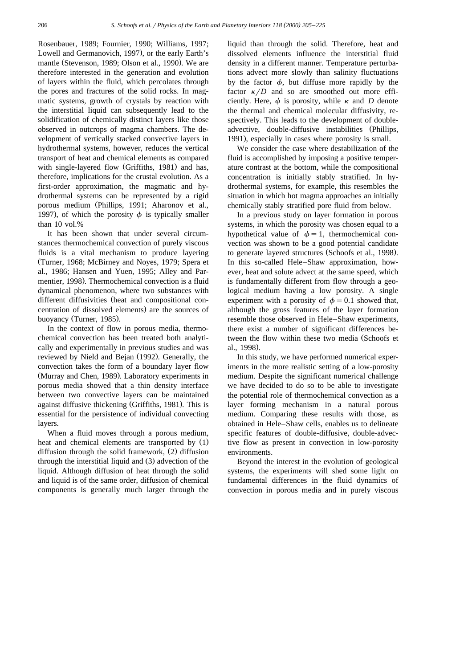Rosenbauer, 1989; Fournier, 1990; Williams, 1997; Lowell and Germanovich, 1997), or the early Earth's mantle (Stevenson, 1989; Olson et al., 1990). We are therefore interested in the generation and evolution of layers within the fluid, which percolates through the pores and fractures of the solid rocks. In magmatic systems, growth of crystals by reaction with the interstitial liquid can subsequently lead to the solidification of chemically distinct layers like those observed in outcrops of magma chambers. The development of vertically stacked convective layers in hydrothermal systems, however, reduces the vertical transport of heat and chemical elements as compared with single-layered flow (Griffiths, 1981) and has, therefore, implications for the crustal evolution. As a first-order approximation, the magmatic and hydrothermal systems can be represented by a rigid porous medium (Phillips, 1991; Aharonov et al., 1997), of which the porosity  $\phi$  is typically smaller than 10 vol.%

It has been shown that under several circumstances thermochemical convection of purely viscous fluids is a vital mechanism to produce layering (Turner, 1968; McBirney and Noyes, 1979; Spera et al., 1986; Hansen and Yuen, 1995; Alley and Parmentier, 1998). Thermochemical convection is a fluid dynamical phenomenon, where two substances with different diffusivities (heat and compositional concentration of dissolved elements) are the sources of buoyancy (Turner, 1985).

In the context of flow in porous media, thermochemical convection has been treated both analytically and experimentally in previous studies and was reviewed by Nield and Bejan (1992). Generally, the convection takes the form of a boundary layer flow (Murray and Chen, 1989). Laboratory experiments in porous media showed that a thin density interface between two convective layers can be maintained against diffusive thickening (Griffiths, 1981). This is essential for the persistence of individual convecting layers.

When a fluid moves through a porous medium, heat and chemical elements are transported by  $(1)$ diffusion through the solid framework,  $(2)$  diffusion through the interstitial liquid and  $(3)$  advection of the liquid. Although diffusion of heat through the solid and liquid is of the same order, diffusion of chemical components is generally much larger through the liquid than through the solid. Therefore, heat and dissolved elements influence the interstitial fluid density in a different manner. Temperature perturbations advect more slowly than salinity fluctuations by the factor  $\phi$ , but diffuse more rapidly by the factor  $\kappa/D$  and so are smoothed out more efficiently. Here,  $\phi$  is porosity, while  $\kappa$  and *D* denote the thermal and chemical molecular diffusivity, respectively. This leads to the development of doubleadvective, double-diffusive instabilities (Phillips, 1991), especially in cases where porosity is small.

We consider the case where destabilization of the fluid is accomplished by imposing a positive temperature contrast at the bottom, while the compositional concentration is initially stably stratified. In hydrothermal systems, for example, this resembles the situation in which hot magma approaches an initially chemically stably stratified pore fluid from below.

In a previous study on layer formation in porous systems, in which the porosity was chosen equal to a hypothetical value of  $\phi = 1$ , thermochemical convection was shown to be a good potential candidate to generate layered structures (Schoofs et al., 1998). In this so-called Hele–Shaw approximation, however, heat and solute advect at the same speed, which is fundamentally different from flow through a geological medium having a low porosity. A single experiment with a porosity of  $\phi=0.1$  showed that, although the gross features of the layer formation resemble those observed in Hele–Shaw experiments, there exist a number of significant differences between the flow within these two media (Schoofs et al., 1998).

In this study, we have performed numerical experiments in the more realistic setting of a low-porosity medium. Despite the significant numerical challenge we have decided to do so to be able to investigate the potential role of thermochemical convection as a layer forming mechanism in a natural porous medium. Comparing these results with those, as obtained in Hele–Shaw cells, enables us to delineate specific features of double-diffusive, double-advective flow as present in convection in low-porosity environments.

Beyond the interest in the evolution of geological systems, the experiments will shed some light on fundamental differences in the fluid dynamics of convection in porous media and in purely viscous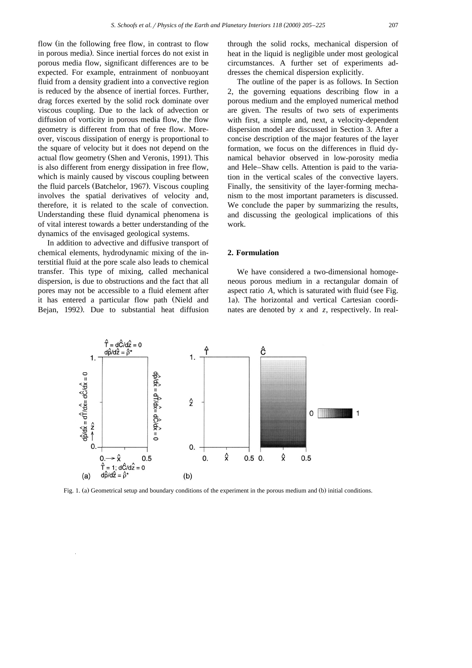flow (in the following free flow, in contrast to flow in porous media). Since inertial forces do not exist in porous media flow, significant differences are to be expected. For example, entrainment of nonbuoyant fluid from a density gradient into a convective region is reduced by the absence of inertial forces. Further, drag forces exerted by the solid rock dominate over viscous coupling. Due to the lack of advection or diffusion of vorticity in porous media flow, the flow geometry is different from that of free flow. Moreover, viscous dissipation of energy is proportional to the square of velocity but it does not depend on the actual flow geometry (Shen and Veronis, 1991). This is also different from energy dissipation in free flow, which is mainly caused by viscous coupling between the fluid parcels (Batchelor, 1967). Viscous coupling involves the spatial derivatives of velocity and, therefore, it is related to the scale of convection. Understanding these fluid dynamical phenomena is of vital interest towards a better understanding of the dynamics of the envisaged geological systems.

In addition to advective and diffusive transport of chemical elements, hydrodynamic mixing of the interstitial fluid at the pore scale also leads to chemical transfer. This type of mixing, called mechanical dispersion, is due to obstructions and the fact that all pores may not be accessible to a fluid element after it has entered a particular flow path (Nield and Bejan, 1992). Due to substantial heat diffusion

through the solid rocks, mechanical dispersion of heat in the liquid is negligible under most geological circumstances. A further set of experiments addresses the chemical dispersion explicitly.

The outline of the paper is as follows. In Section 2, the governing equations describing flow in a porous medium and the employed numerical method are given. The results of two sets of experiments with first, a simple and, next, a velocity-dependent dispersion model are discussed in Section 3. After a concise description of the major features of the layer formation, we focus on the differences in fluid dynamical behavior observed in low-porosity media and Hele–Shaw cells. Attention is paid to the variation in the vertical scales of the convective layers. Finally, the sensitivity of the layer-forming mechanism to the most important parameters is discussed. We conclude the paper by summarizing the results, and discussing the geological implications of this work.

# **2. Formulation**

We have considered a two-dimensional homogeneous porous medium in a rectangular domain of aspect ratio  $A$ , which is saturated with fluid (see Fig. 1a). The horizontal and vertical Cartesian coordinates are denoted by *x* and *z*, respectively. In real-



Fig. 1. (a) Geometrical setup and boundary conditions of the experiment in the porous medium and (b) initial conditions.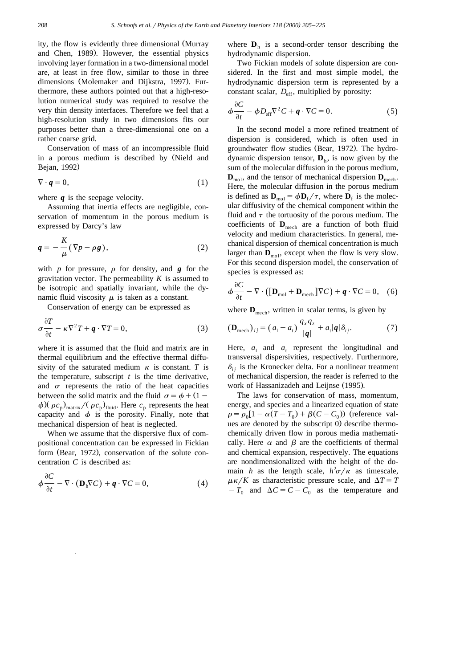E*C*

ity, the flow is evidently three dimensional (Murray and Chen, 1989). However, the essential physics involving layer formation in a two-dimensional model are, at least in free flow, similar to those in three dimensions (Molemaker and Dijkstra, 1997). Furthermore, these authors pointed out that a high-resolution numerical study was required to resolve the very thin density interfaces. Therefore we feel that a high-resolution study in two dimensions fits our purposes better than a three-dimensional one on a rather coarse grid.

Conservation of mass of an incompressible fluid in a porous medium is described by (Nield and Bejan, 1992.

$$
\nabla \cdot \boldsymbol{q} = 0,\tag{1}
$$

where *q* is the seepage velocity.

Assuming that inertia effects are negligible, conservation of momentum in the porous medium is expressed by Darcy's law

$$
q = -\frac{K}{\mu} (\nabla p - \rho g), \qquad (2)
$$

with  $p$  for pressure,  $\rho$  for density, and  $g$  for the gravitation vector. The permeability *K* is assumed to be isotropic and spatially invariant, while the dynamic fluid viscosity  $\mu$  is taken as a constant.

Conservation of energy can be expressed as

$$
\sigma \frac{\partial T}{\partial t} - \kappa \nabla^2 T + \boldsymbol{q} \cdot \nabla T = 0, \qquad (3)
$$

where it is assumed that the fluid and matrix are in thermal equilibrium and the effective thermal diffusivity of the saturated medium  $\kappa$  is constant. *T* is the temperature, subscript  $t$  is the time derivative, and  $\sigma$  represents the ratio of the heat capacities between the solid matrix and the fluid  $\sigma = \phi + (1 - \phi)$  $\phi$ )( $\rho c_p$ )<sub>matrix</sub> /( $\rho c_p$ )<sub>fluid</sub>. Here  $c_p$  represents the heat capacity and  $\phi$  is the porosity. Finally, note that mechanical dispersion of heat is neglected.

When we assume that the dispersive flux of compositional concentration can be expressed in Fickian form (Bear, 1972), conservation of the solute concentration *C* is described as:

$$
\phi \frac{\partial C}{\partial t} - \nabla \cdot (\mathbf{D}_h \nabla C) + \boldsymbol{q} \cdot \nabla C = 0,
$$
\n(4)

where  $\mathbf{D}_h$  is a second-order tensor describing the hydrodynamic dispersion.

Two Fickian models of solute dispersion are considered. In the first and most simple model, the hydrodynamic dispersion term is represented by a constant scalar,  $D_{\text{eff}}$ , multiplied by porosity:

$$
\phi \frac{\partial C}{\partial t} - \phi D_{\text{eff}} \nabla^2 C + \boldsymbol{q} \cdot \nabla C = 0. \tag{5}
$$

In the second model a more refined treatment of dispersion is considered, which is often used in groundwater flow studies (Bear, 1972). The hydrodynamic dispersion tensor,  $\mathbf{D}_h$ , is now given by the sum of the molecular diffusion in the porous medium,  $\mathbf{D}_{\text{mol}}$ , and the tensor of mechanical dispersion  $\mathbf{D}_{\text{mech}}$ . Here, the molecular diffusion in the porous medium is defined as  $\mathbf{D}_{\text{mol}} = \phi \mathbf{D}_{\text{f}} / \tau$ , where  $\mathbf{D}_{\text{f}}$  is the molecular diffusivity of the chemical component within the fluid and  $\tau$  the tortuosity of the porous medium. The coefficients of  $\mathbf{D}_{\text{mech}}$  are a function of both fluid velocity and medium characteristics. In general, mechanical dispersion of chemical concentration is much larger than  $\mathbf{D}_{\text{mol}}$ , except when the flow is very slow. For this second dispersion model, the conservation of species is expressed as:

$$
\phi \frac{\partial C}{\partial t} - \nabla \cdot \left( \left[ \mathbf{D}_{\text{mol}} + \mathbf{D}_{\text{mech}} \right] \nabla C \right) + \boldsymbol{q} \cdot \nabla C = 0, \quad (6)
$$

where  $\mathbf{D}_{\text{mech}}$ , written in scalar terms, is given by

$$
(\mathbf{D}_{\text{mech}})_{ij} = (a_1 - a_t) \frac{q_x q_z}{|q|} + a_t |q| \delta_{ij}.
$$
 (7)

Here,  $a_1$  and  $a_t$  represent the longitudinal and transversal dispersivities, respectively. Furthermore,  $\delta_{ij}$  is the Kronecker delta. For a nonlinear treatment of mechanical dispersion, the reader is referred to the work of Hassanizadeh and Leijnse (1995).

The laws for conservation of mass, momentum, energy, and species and a linearized equation of state  $\rho = \rho_0[1 - \alpha(T - T_0) + \beta(C - C_0)$  (reference values are denoted by the subscript 0) describe thermochemically driven flow in porous media mathematically. Here  $\alpha$  and  $\beta$  are the coefficients of thermal and chemical expansion, respectively. The equations are nondimensionalized with the height of the domain *h* as the length scale,  $h^2 \sigma / \kappa$  as timescale,  $\mu$ *K* as characteristic pressure scale, and  $\Delta T = T$  $-T_0$  and  $\Delta C = C - C_0$  as the temperature and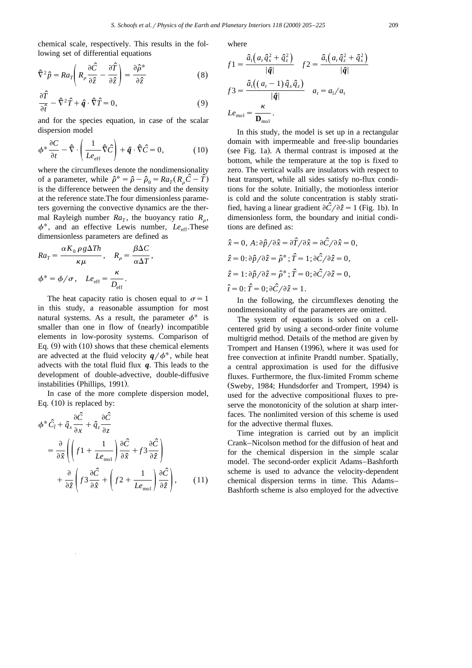chemical scale, respectively. This results in the following set of differential equations

$$
\hat{\nabla}^2 \hat{p} = Ra_T \left( R_\rho \frac{\partial \hat{C}}{\partial \hat{z}} - \frac{\partial \hat{T}}{\partial \hat{z}} \right) = \frac{\partial \hat{\rho}^*}{\partial \hat{z}}
$$
(8)

$$
\frac{\partial \hat{T}}{\partial \hat{t}} - \hat{\nabla}^2 \hat{T} + \hat{q} \cdot \hat{\nabla} \hat{T} = 0,
$$
\n(9)

and for the species equation, in case of the scalar dispersion model

$$
\phi^* \frac{\partial C}{\partial t} - \hat{\nabla} \cdot \left( \frac{1}{Le_{\text{eff}}} \hat{\nabla} \hat{C} \right) + \hat{\boldsymbol{q}} \cdot \hat{\nabla} \hat{C} = 0, \tag{10}
$$

where the circumflexes denote the nondimensionality of a parameter, while  $\hat{\rho}^* = \hat{\rho} - \hat{\rho}_0 = Ra_T (R_\rho \hat{C} - \hat{T})$ is the difference between the density and the density at the reference state.The four dimensionless parameters governing the convective dynamics are the thermal Rayleigh number  $Ra_T$ , the buoyancy ratio  $R_0$ ,  $\phi^*$ , and an effective Lewis number,  $Le_{eff}$ . These dimensionless parameters are defined as

$$
Ra_{T} = \frac{\alpha K_{0} \rho g \Delta T h}{\kappa \mu}, \quad R_{\rho} = \frac{\beta \Delta C}{\alpha \Delta T},
$$

$$
\phi^* = \phi / \sigma, \quad Le_{eff} = \frac{\kappa}{D_{eff}}.
$$

The heat capacity ratio is chosen equal to  $\sigma = 1$ in this study, a reasonable assumption for most natural systems. As a result, the parameter  $\phi^*$  is smaller than one in flow of (nearly) incompatible elements in low-porosity systems. Comparison of Eq.  $(9)$  with  $(10)$  shows that these chemical elements are advected at the fluid velocity  $q/\phi^*$ , while heat advects with the total fluid flux *q*. This leads to the development of double-advective, double-diffusive instabilities (Phillips, 1991).

In case of the more complete dispersion model, Eq.  $(10)$  is replaced by:

$$
\phi^* \hat{C}_{\hat{t}} + \hat{q}_x \frac{\partial \hat{C}}{\partial x} + \hat{q}_z \frac{\partial \hat{C}}{\partial z} \n= \frac{\partial}{\partial \hat{x}} \left( \left( f \right) + \frac{1}{Le_{\text{mol}}} \right) \frac{\partial \hat{C}}{\partial \hat{x}} + f \left( 3 \frac{\partial \hat{C}}{\partial \hat{z}} \right) \n+ \frac{\partial}{\partial \hat{z}} \left( f \left( 3 \frac{\partial \hat{C}}{\partial \hat{x}} + \left( f \right) + \frac{1}{Le_{\text{mol}}} \right) \frac{\partial \hat{C}}{\partial \hat{z}} \right), \quad (11)
$$

where

$$
f1 = \frac{\hat{a}_{\rm t}\left(a_{\rm r}\hat{q}_{\rm x}^2 + \hat{q}_{\rm z}^2\right)}{|\hat{q}|} \quad f2 = \frac{\hat{a}_{\rm t}\left(a_{\rm r}\hat{q}_{\rm z}^2 + \hat{q}_{\rm x}^2\right)}{|\hat{q}|}
$$

$$
f3 = \frac{\hat{a}_{\rm t}\left((a_{\rm r}-1)\hat{q}_{\rm x}\hat{q}_{\rm z}\right)}{|\hat{q}|} \quad a_{\rm r} = a_{\rm l}/a_{\rm t}
$$

$$
Le_{\rm mol} = \frac{\kappa}{\mathbf{D}_{\rm mol}}.
$$

In this study, the model is set up in a rectangular domain with impermeable and free-slip boundaries (see Fig. 1a). A thermal contrast is imposed at the bottom, while the temperature at the top is fixed to zero. The vertical walls are insulators with respect to heat transport, while all sides satisfy no-flux conditions for the solute. Initially, the motionless interior is cold and the solute concentration is stably stratified, having a linear gradient  $\partial \hat{C}/\partial \hat{z} = 1$  (Fig. 1b). In dimensionless form, the boundary and initial conditions are defined as:

$$
\hat{x} = 0, A: \partial \hat{p}/\partial \hat{x} = \partial \hat{T}/\partial \hat{x} = \partial \hat{C}/\partial \hat{x} = 0,
$$
  
\n
$$
\hat{z} = 0: \partial \hat{p}/\partial \hat{z} = \hat{\rho}^*; \hat{T} = 1; \partial \hat{C}/\partial \hat{z} = 0,
$$
  
\n
$$
\hat{z} = 1: \partial \hat{p}/\partial \hat{z} = \hat{\rho}^*; \hat{T} = 0; \partial \hat{C}/\partial \hat{z} = 0,
$$
  
\n
$$
\hat{t} = 0; \hat{T} = 0; \partial \hat{C}/\partial \hat{z} = 1.
$$

In the following, the circumflexes denoting the nondimensionality of the parameters are omitted.

The system of equations is solved on a cellcentered grid by using a second-order finite volume multigrid method. Details of the method are given by Trompert and Hansen (1996), where it was used for free convection at infinite Prandtl number. Spatially, a central approximation is used for the diffusive fluxes. Furthermore, the flux-limited Fromm scheme  $(Sweby, 1984; Hundsdorfer and Trompert, 1994)$  is used for the advective compositional fluxes to preserve the monotonicity of the solution at sharp interfaces. The nonlimited version of this scheme is used for the advective thermal fluxes.

Time integration is carried out by an implicit Crank–Nicolson method for the diffusion of heat and for the chemical dispersion in the simple scalar model. The second-order explicit Adams–Bashforth scheme is used to advance the velocity-dependent chemical dispersion terms in time. This Adams– Bashforth scheme is also employed for the advective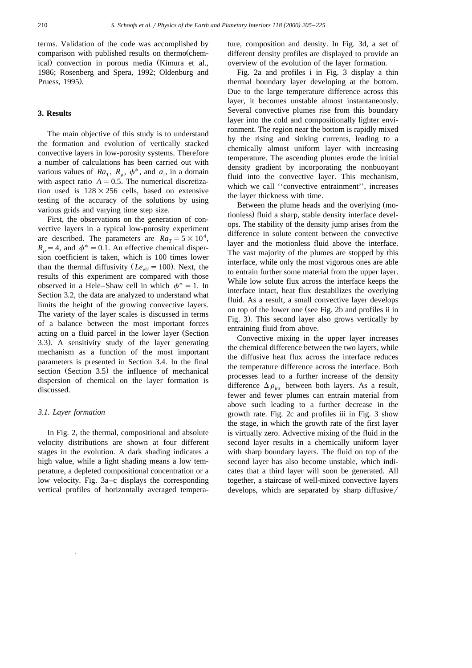terms. Validation of the code was accomplished by comparison with published results on thermo chemical) convection in porous media (Kimura et al., 1986; Rosenberg and Spera, 1992; Oldenburg and Pruess, 1995).

# **3. Results**

The main objective of this study is to understand the formation and evolution of vertically stacked convective layers in low-porosity systems. Therefore a number of calculations has been carried out with various values of  $Ra_T$ ,  $R_\rho$ ,  $\phi^*$ , and  $a_1$ , in a domain with aspect ratio  $A = 0.5$ . The numerical discretization used is  $128\times256$  cells, based on extensive testing of the accuracy of the solutions by using various grids and varying time step size.

First, the observations on the generation of convective layers in a typical low-porosity experiment are described. The parameters are  $Ra_T = 5 \times 10^4$ ,  $R_0 = 4$ , and  $\phi^* = 0.1$ . An effective chemical dispersion coefficient is taken, which is 100 times lower than the thermal diffusivity ( $Le<sub>eff</sub> = 100$ ). Next, the results of this experiment are compared with those observed in a Hele–Shaw cell in which  $\phi^* = 1$ . In Section 3.2, the data are analyzed to understand what limits the height of the growing convective layers. The variety of the layer scales is discussed in terms of a balance between the most important forces acting on a fluid parcel in the lower layer (Section 3.3). A sensitivity study of the layer generating mechanism as a function of the most important parameters is presented in Section 3.4. In the final section (Section 3.5) the influence of mechanical dispersion of chemical on the layer formation is discussed.

## *3.1. Layer formation*

In Fig. 2, the thermal, compositional and absolute velocity distributions are shown at four different stages in the evolution. A dark shading indicates a high value, while a light shading means a low temperature, a depleted compositional concentration or a low velocity. Fig. 3a–c displays the corresponding vertical profiles of horizontally averaged temperature, composition and density. In Fig. 3d, a set of different density profiles are displayed to provide an overview of the evolution of the layer formation.

Fig. 2a and profiles i in Fig. 3 display a thin thermal boundary layer developing at the bottom. Due to the large temperature difference across this layer, it becomes unstable almost instantaneously. Several convective plumes rise from this boundary layer into the cold and compositionally lighter environment. The region near the bottom is rapidly mixed by the rising and sinking currents, leading to a chemically almost uniform layer with increasing temperature. The ascending plumes erode the initial density gradient by incorporating the nonbuoyant fluid into the convective layer. This mechanism, which we call ''convective entrainment'', increases the layer thickness with time.

Between the plume heads and the overlying (motionless) fluid a sharp, stable density interface develops. The stability of the density jump arises from the difference in solute content between the convective layer and the motionless fluid above the interface. The vast majority of the plumes are stopped by this interface, while only the most vigorous ones are able to entrain further some material from the upper layer. While low solute flux across the interface keeps the interface intact, heat flux destabilizes the overlying fluid. As a result, a small convective layer develops on top of the lower one (see Fig. 2b and profiles ii in Fig. 3). This second layer also grows vertically by entraining fluid from above.

Convective mixing in the upper layer increases the chemical difference between the two layers, while the diffusive heat flux across the interface reduces the temperature difference across the interface. Both processes lead to a further increase of the density difference  $\Delta \rho_{\text{int}}$  between both layers. As a result, fewer and fewer plumes can entrain material from above such leading to a further decrease in the growth rate. Fig. 2c and profiles iii in Fig. 3 show the stage, in which the growth rate of the first layer is virtually zero. Advective mixing of the fluid in the second layer results in a chemically uniform layer with sharp boundary layers. The fluid on top of the second layer has also become unstable, which indicates that a third layer will soon be generated. All together, a staircase of well-mixed convective layers develops, which are separated by sharp diffusive/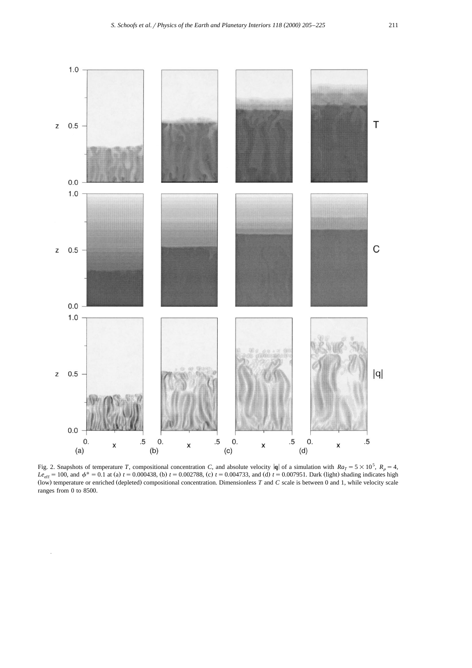

Fig. 2. Snapshots of temperature *T*, compositional concentration *C*, and absolute velocity  $|q|$  of a simulation with  $Ra_T = 5 \times 10^5$ ,  $R_\rho = 4$ ,  $Le_{eff} = 100$ , and  $\phi^* = 0.1$  at (a)  $t = 0.000438$ , (b)  $t = 0.002788$ , (c) (low) temperature or enriched (depleted) compositional concentration. Dimensionless *T* and *C* scale is between 0 and 1, while velocity scale ranges from 0 to 8500.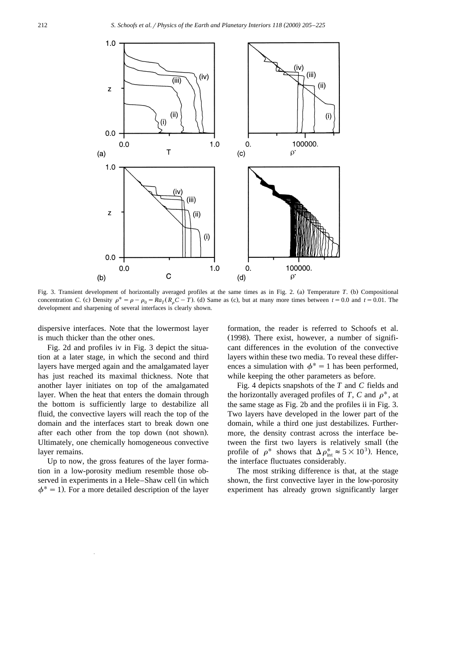

Fig. 3. Transient development of horizontally averaged profiles at the same times as in Fig. 2. (a) Temperature T. (b) Compositional concentration *C*. (c) Density  $\rho^* = \rho - \rho_0 = Ra_T(R_0C - T)$ . (d) Same as (c), but at many more times between  $t = 0.0$  and  $t = 0.01$ . The development and sharpening of several interfaces is clearly shown.

dispersive interfaces. Note that the lowermost layer is much thicker than the other ones.

Fig. 2d and profiles iv in Fig. 3 depict the situation at a later stage, in which the second and third layers have merged again and the amalgamated layer has just reached its maximal thickness. Note that another layer initiates on top of the amalgamated layer. When the heat that enters the domain through the bottom is sufficiently large to destabilize all fluid, the convective layers will reach the top of the domain and the interfaces start to break down one after each other from the top down (not shown). Ultimately, one chemically homogeneous convective layer remains.

Up to now, the gross features of the layer formation in a low-porosity medium resemble those observed in experiments in a Hele–Shaw cell (in which  $\phi^* = 1$ ). For a more detailed description of the layer

formation, the reader is referred to Schoofs et al.  $(1998)$ . There exist, however, a number of significant differences in the evolution of the convective layers within these two media. To reveal these differences a simulation with  $\phi^* = 1$  has been performed, while keeping the other parameters as before.

Fig. 4 depicts snapshots of the *T* and *C* fields and the horizontally averaged profiles of *T*, *C* and  $\rho^*$ , at the same stage as Fig. 2b and the profiles ii in Fig. 3. Two layers have developed in the lower part of the domain, while a third one just destabilizes. Furthermore, the density contrast across the interface between the first two layers is relatively small (the profile of  $\rho^*$  shows that  $\Delta \rho_{\text{int}}^* \approx 5 \times 10^3$ ). Hence, the interface fluctuates considerably.

The most striking difference is that, at the stage shown, the first convective layer in the low-porosity experiment has already grown significantly larger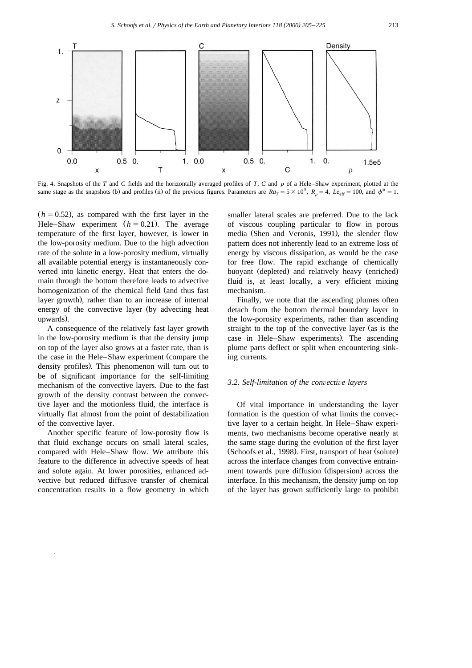

Fig. 4. Snapshots of the *T* and *C* fields and the horizontally averaged profiles of *T*, *C* and  $\rho$  of a Hele–Shaw experiment, plotted at the same stage as the snapshots (b) and profiles (ii) of the previous figures. Parameters are  $Ra_T = 5 \times 10^5$ ,  $R_o = 4$ ,  $Le_{\text{eff}} = 100$ , and  $\phi^* = 1$ .

 $(h = 0.52)$ , as compared with the first layer in the Hele–Shaw experiment  $(h = 0.21)$ . The average temperature of the first layer, however, is lower in the low-porosity medium. Due to the high advection rate of the solute in a low-porosity medium, virtually all available potential energy is instantaneously converted into kinetic energy. Heat that enters the domain through the bottom therefore leads to advective homogenization of the chemical field (and thus fast layer growth), rather than to an increase of internal energy of the convective layer (by advecting heat upwards).

A consequence of the relatively fast layer growth in the low-porosity medium is that the density jump on top of the layer also grows at a faster rate, than is the case in the Hele–Shaw experiment (compare the density profiles). This phenomenon will turn out to be of significant importance for the self-limiting mechanism of the convective layers. Due to the fast growth of the density contrast between the convective layer and the motionless fluid, the interface is virtually flat almost from the point of destabilization of the convective layer.

Another specific feature of low-porosity flow is that fluid exchange occurs on small lateral scales, compared with Hele–Shaw flow. We attribute this feature to the difference in advective speeds of heat and solute again. At lower porosities, enhanced advective but reduced diffusive transfer of chemical concentration results in a flow geometry in which

smaller lateral scales are preferred. Due to the lack of viscous coupling particular to flow in porous media (Shen and Veronis, 1991), the slender flow pattern does not inherently lead to an extreme loss of energy by viscous dissipation, as would be the case for free flow. The rapid exchange of chemically buoyant (depleted) and relatively heavy (enriched) fluid is, at least locally, a very efficient mixing mechanism.

Finally, we note that the ascending plumes often detach from the bottom thermal boundary layer in the low-porosity experiments, rather than ascending straight to the top of the convective layer (as is the case in Hele–Shaw experiments). The ascending plume parts deflect or split when encountering sinking currents.

#### *3.2. Self-limitation of the con*Õ*ecti*Õ*e layers*

Of vital importance in understanding the layer formation is the question of what limits the convective layer to a certain height. In Hele–Shaw experiments, two mechanisms become operative nearly at the same stage during the evolution of the first layer (Schoofs et al., 1998). First, transport of heat (solute) across the interface changes from convective entrainment towards pure diffusion (dispersion) across the interface. In this mechanism, the density jump on top of the layer has grown sufficiently large to prohibit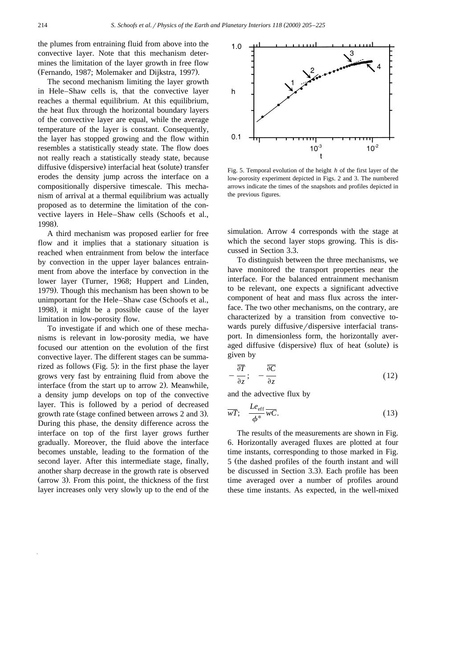the plumes from entraining fluid from above into the convective layer. Note that this mechanism determines the limitation of the layer growth in free flow (Fernando, 1987; Molemaker and Dijkstra, 1997).

The second mechanism limiting the layer growth in Hele–Shaw cells is, that the convective layer reaches a thermal equilibrium. At this equilibrium, the heat flux through the horizontal boundary layers of the convective layer are equal, while the average temperature of the layer is constant. Consequently, the layer has stopped growing and the flow within resembles a statistically steady state. The flow does not really reach a statistically steady state, because diffusive (dispersive) interfacial heat (solute) transfer erodes the density jump across the interface on a compositionally dispersive timescale. This mechanism of arrival at a thermal equilibrium was actually proposed as to determine the limitation of the convective layers in Hele–Shaw cells (Schoofs et al., 1998).

A third mechanism was proposed earlier for free flow and it implies that a stationary situation is reached when entrainment from below the interface by convection in the upper layer balances entrainment from above the interface by convection in the lower layer (Turner, 1968; Huppert and Linden, 1979). Though this mechanism has been shown to be. unimportant for the Hele–Shaw case (Schoofs et al., 1998), it might be a possible cause of the layer limitation in low-porosity flow.

To investigate if and which one of these mechanisms is relevant in low-porosity media, we have focused our attention on the evolution of the first convective layer. The different stages can be summarized as follows (Fig.  $5$ ): in the first phase the layer grows very fast by entraining fluid from above the interface (from the start up to arrow 2). Meanwhile, a density jump develops on top of the convective layer. This is followed by a period of decreased growth rate (stage confined between arrows 2 and 3). During this phase, the density difference across the interface on top of the first layer grows further gradually. Moreover, the fluid above the interface becomes unstable, leading to the formation of the second layer. After this intermediate stage, finally, another sharp decrease in the growth rate is observed  $\frac{1}{2}$  (arrow 3). From this point, the thickness of the first layer increases only very slowly up to the end of the



Fig. 5. Temporal evolution of the height *h* of the first layer of the low-porosity experiment depicted in Figs. 2 and 3. The numbered arrows indicate the times of the snapshots and profiles depicted in the previous figures.

simulation. Arrow 4 corresponds with the stage at which the second layer stops growing. This is discussed in Section 3.3.

To distinguish between the three mechanisms, we have monitored the transport properties near the interface. For the balanced entrainment mechanism to be relevant, one expects a significant advective component of heat and mass flux across the interface. The two other mechanisms, on the contrary, are characterized by a transition from convective towards purely diffusive/dispersive interfacial transport. In dimensionless form, the horizontally averaged diffusive (dispersive) flux of heat (solute) is given by

$$
-\frac{\overline{\partial T}}{\partial z}; \quad -\frac{\overline{\partial C}}{\partial z} \tag{12}
$$

and the advective flux by

$$
\overline{wT}; \quad \frac{Le_{\text{eff}}}{\phi^*} \overline{wC}.
$$
 (13)

The results of the measurements are shown in Fig. 6. Horizontally averaged fluxes are plotted at four time instants, corresponding to those marked in Fig. 5 (the dashed profiles of the fourth instant and will be discussed in Section 3.3). Each profile has been time averaged over a number of profiles around these time instants. As expected, in the well-mixed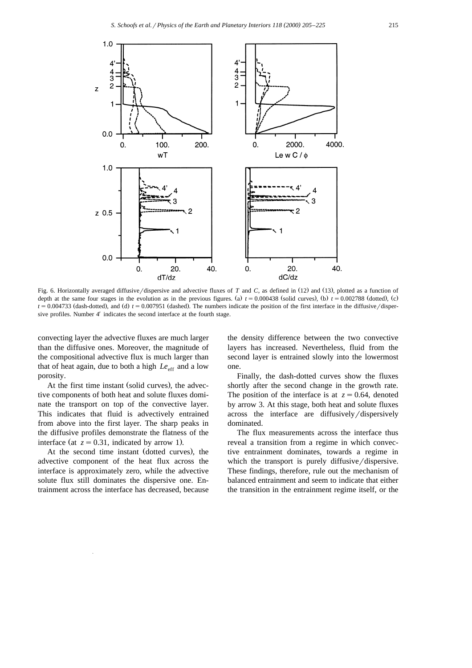

Fig. 6. Horizontally averaged diffusive/dispersive and advective fluxes of *T* and *C*, as defined in (12) and (13), plotted as a function of depth at the same four stages in the evolution as in the previous figures. (a)  $t = 0.000438$  (solid curves), (b)  $t = 0.002788$  (dotted), (c)  $t = 0.004733$  (dash-dotted), and (d)  $t = 0.007951$  (dashed). The numbers indicate the position of the first interface in the diffusive/dispersive profiles. Number 4' indicates the second interface at the fourth stage.

convecting layer the advective fluxes are much larger than the diffusive ones. Moreover, the magnitude of the compositional advective flux is much larger than that of heat again, due to both a high *Le<sub>eff</sub>* and a low porosity.

At the first time instant (solid curves), the advective components of both heat and solute fluxes dominate the transport on top of the convective layer. This indicates that fluid is advectively entrained from above into the first layer. The sharp peaks in the diffusive profiles demonstrate the flatness of the interface (at  $z = 0.31$ , indicated by arrow 1).

At the second time instant (dotted curves), the advective component of the heat flux across the interface is approximately zero, while the advective solute flux still dominates the dispersive one. Entrainment across the interface has decreased, because the density difference between the two convective layers has increased. Nevertheless, fluid from the second layer is entrained slowly into the lowermost one.

Finally, the dash-dotted curves show the fluxes shortly after the second change in the growth rate. The position of the interface is at  $z = 0.64$ , denoted by arrow 3. At this stage, both heat and solute fluxes across the interface are diffusively/dispersively dominated.

The flux measurements across the interface thus reveal a transition from a regime in which convective entrainment dominates, towards a regime in which the transport is purely diffusive/dispersive. These findings, therefore, rule out the mechanism of balanced entrainment and seem to indicate that either the transition in the entrainment regime itself, or the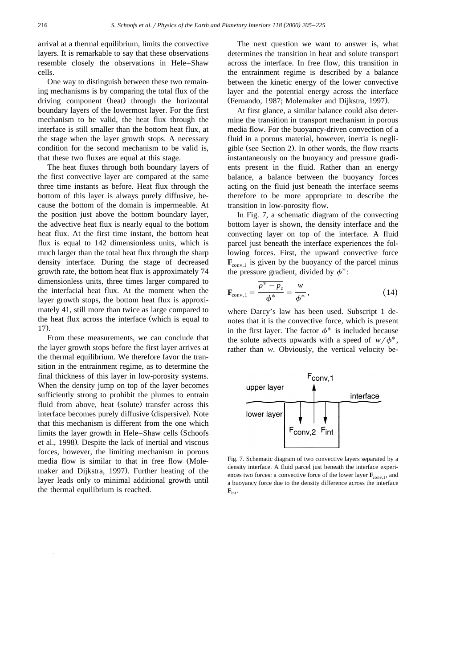arrival at a thermal equilibrium, limits the convective layers. It is remarkable to say that these observations resemble closely the observations in Hele–Shaw cells.

One way to distinguish between these two remaining mechanisms is by comparing the total flux of the driving component (heat) through the horizontal boundary layers of the lowermost layer. For the first mechanism to be valid, the heat flux through the interface is still smaller than the bottom heat flux, at the stage when the layer growth stops. A necessary condition for the second mechanism to be valid is, that these two fluxes are equal at this stage.

The heat fluxes through both boundary layers of the first convective layer are compared at the same three time instants as before. Heat flux through the bottom of this layer is always purely diffusive, because the bottom of the domain is impermeable. At the position just above the bottom boundary layer, the advective heat flux is nearly equal to the bottom heat flux. At the first time instant, the bottom heat flux is equal to 142 dimensionless units, which is much larger than the total heat flux through the sharp density interface. During the stage of decreased growth rate, the bottom heat flux is approximately 74 dimensionless units, three times larger compared to the interfacial heat flux. At the moment when the layer growth stops, the bottom heat flux is approximately 41, still more than twice as large compared to the heat flux across the interface (which is equal to 17).

From these measurements, we can conclude that the layer growth stops before the first layer arrives at the thermal equilibrium. We therefore favor the transition in the entrainment regime, as to determine the final thickness of this layer in low-porosity systems. When the density jump on top of the layer becomes sufficiently strong to prohibit the plumes to entrain fluid from above, heat (solute) transfer across this interface becomes purely diffusive (dispersive). Note that this mechanism is different from the one which limits the layer growth in Hele–Shaw cells (Schoofs et al., 1998). Despite the lack of inertial and viscous forces, however, the limiting mechanism in porous media flow is similar to that in free flow (Molemaker and Dijkstra, 1997). Further heating of the layer leads only to minimal additional growth until the thermal equilibrium is reached.

The next question we want to answer is, what determines the transition in heat and solute transport across the interface. In free flow, this transition in the entrainment regime is described by a balance between the kinetic energy of the lower convective layer and the potential energy across the interface (Fernando, 1987; Molemaker and Dijkstra, 1997).

At first glance, a similar balance could also determine the transition in transport mechanism in porous media flow. For the buoyancy-driven convection of a fluid in a porous material, however, inertia is negligible (see Section 2). In other words, the flow reacts instantaneously on the buoyancy and pressure gradients present in the fluid. Rather than an energy balance, a balance between the buoyancy forces acting on the fluid just beneath the interface seems therefore to be more appropriate to describe the transition in low-porosity flow.

In Fig. 7, a schematic diagram of the convecting bottom layer is shown, the density interface and the convecting layer on top of the interface. A fluid parcel just beneath the interface experiences the following forces. First, the upward convective force  $\mathbf{F}_{\text{conv,1}}$  is given by the buoyancy of the parcel minus the pressure gradient, divided by  $\phi^*$ :

$$
\mathbf{F}_{\text{conv},1} = \frac{\overline{\rho^* - p_z}}{\phi^*} = \frac{w}{\phi^*},\tag{14}
$$

where Darcy's law has been used. Subscript 1 denotes that it is the convective force, which is present in the first layer. The factor  $\phi^*$  is included because the solute advects upwards with a speed of  $w/\phi^*$ , rather than *w*. Obviously, the vertical velocity be-



Fig. 7. Schematic diagram of two convective layers separated by a density interface. A fluid parcel just beneath the interface experiences two forces: a convective force of the lower layer  $\mathbf{F}_{\text{conv},1}$ , and a buoyancy force due to the density difference across the interface  $\mathbf{F}_{\text{int}}$ .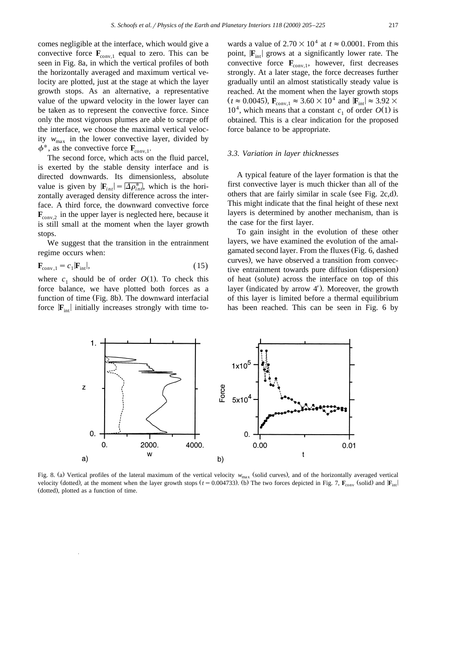comes negligible at the interface, which would give a convective force  $\mathbf{F}_{\text{conv,1}}$  equal to zero. This can be seen in Fig. 8a, in which the vertical profiles of both the horizontally averaged and maximum vertical velocity are plotted, just at the stage at which the layer growth stops. As an alternative, a representative value of the upward velocity in the lower layer can be taken as to represent the convective force. Since only the most vigorous plumes are able to scrape off the interface, we choose the maximal vertical velocity  $w_{\text{max}}$  in the lower convective layer, divided by  $\phi^*$ , as the convective force  $\mathbf{F}_{\text{conv,1}}$ .

The second force, which acts on the fluid parcel, is exerted by the stable density interface and is directed downwards. Its dimensionless, absolute value is given by  $|\mathbf{F}_{int}| = |\Delta \rho_{int}^*|$ , which is the horizontally averaged density difference across the interface. A third force, the downward convective force  $\mathbf{F}_{\text{conv,2}}$  in the upper layer is neglected here, because it is still small at the moment when the layer growth stops.

We suggest that the transition in the entrainment regime occurs when:

$$
\mathbf{F}_{\text{conv},1} = c_1 |\mathbf{F}_{\text{int}}|,\tag{15}
$$

where  $c_1$  should be of order  $O(1)$ . To check this force balance, we have plotted both forces as a function of time (Fig. 8b). The downward interfacial force  $\mathbf{F}_{int}$  initially increases strongly with time to-

wards a value of  $2.70\times10^4$  at  $t\approx0.0001$ . From this point,  $\mathbf{F}_{int}$  grows at a significantly lower rate. The convective force  $\mathbf{F}_{\text{conv,1}}$ , however, first decreases strongly. At a later stage, the force decreases further gradually until an almost statistically steady value is reached. At the moment when the layer growth stops  $(t \approx 0.0045)$ ,  $\mathbf{F}_{\text{conv,1}} \approx 3.60 \times 10^4$  and  $|\mathbf{F}_{\text{int}}| \approx 3.92 \times 10^4$ , which means that a constant *c*<sub>1</sub> of order *O*(1) is obtained. This is a clear indication for the proposed force balance to be appropriate.

#### *3.3. Variation in layer thicknesses*

A typical feature of the layer formation is that the first convective layer is much thicker than all of the others that are fairly similar in scale (see Fig.  $2c,d$ ). This might indicate that the final height of these next layers is determined by another mechanism, than is the case for the first layer.

To gain insight in the evolution of these other layers, we have examined the evolution of the amalgamated second layer. From the fluxes (Fig. 6, dashed curves), we have observed a transition from convective entrainment towards pure diffusion (dispersion) of heat (solute) across the interface on top of this layer (indicated by arrow 4'). Moreover, the growth of this layer is limited before a thermal equilibrium has been reached. This can be seen in Fig. 6 by



Fig. 8. (a) Vertical profiles of the lateral maximum of the vertical velocity  $w_{\text{max}}$  (solid curves), and of the horizontally averaged vertical velocity (dotted), at the moment when the layer growth stops ( $t = 0.004733$ ). (b) The two forces depicted in Fig. 7,  $\mathbf{F}_{\text{conv}}$  (solid) and  $|\mathbf{F}_{\text{int}}|$ (dotted), plotted as a function of time.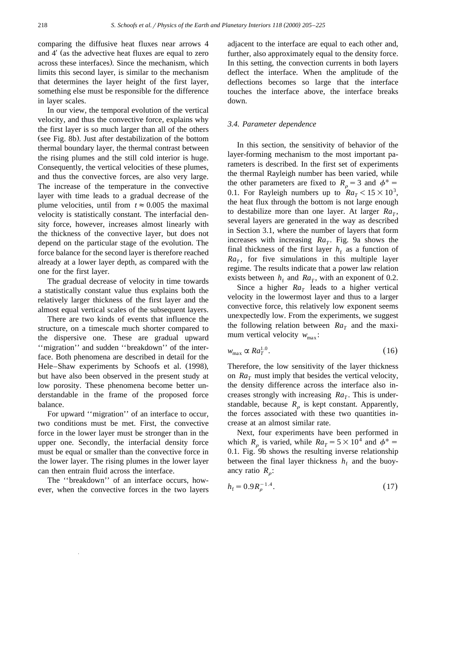comparing the diffusive heat fluxes near arrows  $4$  and  $4'$  (as the advective heat fluxes are equal to zero across these interfaces). Since the mechanism, which limits this second layer, is similar to the mechanism that determines the layer height of the first layer, something else must be responsible for the difference in layer scales.

In our view, the temporal evolution of the vertical velocity, and thus the convective force, explains why the first layer is so much larger than all of the others (see Fig. 8b). Just after destabilization of the bottom thermal boundary layer, the thermal contrast between the rising plumes and the still cold interior is huge. Consequently, the vertical velocities of these plumes, and thus the convective forces, are also very large. The increase of the temperature in the convective layer with time leads to a gradual decrease of the plume velocities, until from  $t \approx 0.005$  the maximal velocity is statistically constant. The interfacial density force, however, increases almost linearly with the thickness of the convective layer, but does not depend on the particular stage of the evolution. The force balance for the second layer is therefore reached already at a lower layer depth, as compared with the one for the first layer.

The gradual decrease of velocity in time towards a statistically constant value thus explains both the relatively larger thickness of the first layer and the almost equal vertical scales of the subsequent layers.

There are two kinds of events that influence the structure, on a timescale much shorter compared to the dispersive one. These are gradual upward ''migration'' and sudden ''breakdown'' of the interface. Both phenomena are described in detail for the Hele–Shaw experiments by Schoofs et al. (1998), but have also been observed in the present study at low porosity. These phenomena become better understandable in the frame of the proposed force balance.

For upward ''migration'' of an interface to occur, two conditions must be met. First, the convective force in the lower layer must be stronger than in the upper one. Secondly, the interfacial density force must be equal or smaller than the convective force in the lower layer. The rising plumes in the lower layer can then entrain fluid across the interface.

The ''breakdown'' of an interface occurs, however, when the convective forces in the two layers

adjacent to the interface are equal to each other and, further, also approximately equal to the density force. In this setting, the convection currents in both layers deflect the interface. When the amplitude of the deflections becomes so large that the interface touches the interface above, the interface breaks down.

## *3.4. Parameter dependence*

In this section, the sensitivity of behavior of the layer-forming mechanism to the most important parameters is described. In the first set of experiments the thermal Rayleigh number has been varied, while the other parameters are fixed to  $R_{\rho} = 3$  and  $\phi^* =$ 0.1. For Rayleigh numbers up to  $Ra_T < 15 \times 10^3$ , the heat flux through the bottom is not large enough to destabilize more than one layer. At larger  $Ra_T$ , several layers are generated in the way as described in Section 3.1, where the number of layers that form increases with increasing  $Ra_T$ . Fig. 9a shows the final thickness of the first layer  $h_f$  as a function of  $Ra_T$ , for five simulations in this multiple layer regime. The results indicate that a power law relation exists between  $h_f$  and  $Ra_T$ , with an exponent of 0.2.

Since a higher  $Ra_T$  leads to a higher vertical velocity in the lowermost layer and thus to a larger convective force, this relatively low exponent seems unexpectedly low. From the experiments, we suggest the following relation between  $Ra_T$  and the maximum vertical velocity  $w_{\text{max}}$ :

$$
w_{\text{max}} \propto Ra_T^{1.0}.\tag{16}
$$

Therefore, the low sensitivity of the layer thickness on  $Ra<sub>T</sub>$  must imply that besides the vertical velocity, the density difference across the interface also increases strongly with increasing  $Ra_T$ . This is understandable, because  $R<sub>o</sub>$  is kept constant. Apparently, the forces associated with these two quantities increase at an almost similar rate.

Next, four experiments have been performed in which  $R_{\rho}$  is varied, while  $Ra_T = 5 \times 10^4$  and  $\phi^* =$ 0.1. Fig. 9b shows the resulting inverse relationship between the final layer thickness  $h_f$  and the buoyancy ratio  $R_{\rho}$ :

$$
h_{\rm f} = 0.9R_{\rho}^{-1.4}.\tag{17}
$$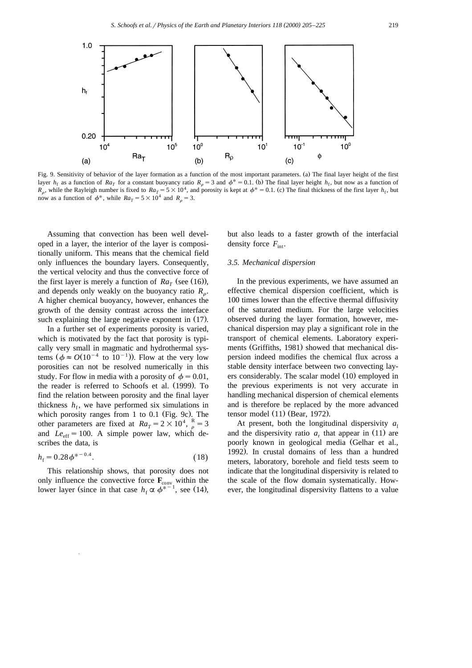

Fig. 9. Sensitivity of behavior of the layer formation as a function of the most important parameters. (a) The final layer height of the first layer  $h_f$  as a function of  $Ra_T$  for a constant buoyancy ratio  $R_\rho = 3$  and  $\$ now as a function of  $\phi^*$ , while  $Ra_T = 5 \times 10^4$  and  $R_0 = 3$ .

Assuming that convection has been well developed in a layer, the interior of the layer is compositionally uniform. This means that the chemical field only influences the boundary layers. Consequently, the vertical velocity and thus the convective force of the first layer is merely a function of  $Ra_T$  (see (16)), and depends only weakly on the buoyancy ratio  $R_{\alpha}$ . A higher chemical buoyancy, however, enhances the growth of the density contrast across the interface such explaining the large negative exponent in  $(17)$ .

In a further set of experiments porosity is varied, which is motivated by the fact that porosity is typically very small in magmatic and hydrothermal systems  $(\phi \approx O(10^{-4} \text{ to } 10^{-1}))$ . Flow at the very low porosities can not be resolved numerically in this study. For flow in media with a porosity of  $\phi=0.01$ , the reader is referred to Schoofs et al. (1999). To find the relation between porosity and the final layer thickness  $h_f$ , we have performed six simulations in which porosity ranges from 1 to  $0.1$  (Fig. 9c). The other parameters are fixed at  $Ra_T = 2 \times 10^4$ ,  $R = 3$ and  $Le_{\text{eff}} = 100$ . A simple power law, which describes the data, is

$$
h_{\rm f} = 0.28 \,\phi^{*-0.4}.\tag{18}
$$

This relationship shows, that porosity does not only influence the convective force  $\mathbf{F}_{\text{conv}}$  within the lower layer (since in that case  $h_f \propto \phi^{*^{-1}}$ , see (14),

but also leads to a faster growth of the interfacial density force  $F_{\text{int}}$ .

## *3.5. Mechanical dispersion*

In the previous experiments, we have assumed an effective chemical dispersion coefficient, which is 100 times lower than the effective thermal diffusivity of the saturated medium. For the large velocities observed during the layer formation, however, mechanical dispersion may play a significant role in the transport of chemical elements. Laboratory experiments (Griffiths, 1981) showed that mechanical dispersion indeed modifies the chemical flux across a stable density interface between two convecting layers considerably. The scalar model (10) employed in the previous experiments is not very accurate in handling mechanical dispersion of chemical elements and is therefore be replaced by the more advanced tensor model (11) (Bear, 1972).

At present, both the longitudinal dispersivity  $a_1$ and the dispersivity ratio  $a_r$  that appear in (11) are poorly known in geological media (Gelhar et al., 1992). In crustal domains of less than a hundred meters, laboratory, borehole and field tests seem to indicate that the longitudinal dispersivity is related to the scale of the flow domain systematically. However, the longitudinal dispersivity flattens to a value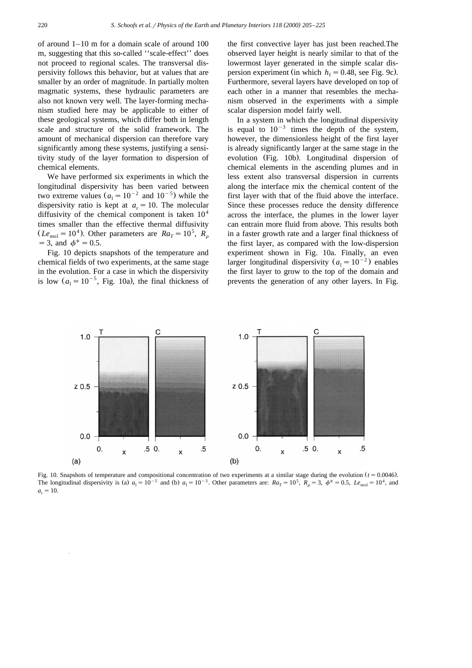of around 1–10 m for a domain scale of around 100 m, suggesting that this so-called ''scale-effect'' does not proceed to regional scales. The transversal dispersivity follows this behavior, but at values that are smaller by an order of magnitude. In partially molten magmatic systems, these hydraulic parameters are also not known very well. The layer-forming mechanism studied here may be applicable to either of these geological systems, which differ both in length scale and structure of the solid framework. The amount of mechanical dispersion can therefore vary significantly among these systems, justifying a sensitivity study of the layer formation to dispersion of chemical elements.

We have performed six experiments in which the longitudinal dispersivity has been varied between two extreme values  $(a_1 = 10^{-2}$  and  $10^{-5}$ ) while the dispersivity ratio is kept at  $a_r = 10$ . The molecular diffusivity of the chemical component is taken  $10<sup>4</sup>$ times smaller than the effective thermal diffusivity  $(Le_{\text{mol}} = 10^4)$ . Other parameters are  $Ra_T = 10^5$ ,  $R_a$  $=$  3, and  $\phi^* = 0.5$ .

Fig. 10 depicts snapshots of the temperature and chemical fields of two experiments, at the same stage in the evolution. For a case in which the dispersivity is low  $(a_1 = 10^{-5}$ , Fig. 10a), the final thickness of

the first convective layer has just been reached.The observed layer height is nearly similar to that of the lowermost layer generated in the simple scalar dispersion experiment (in which  $h_f = 0.48$ , see Fig. 9c). Furthermore, several layers have developed on top of each other in a manner that resembles the mechanism observed in the experiments with a simple scalar dispersion model fairly well.

In a system in which the longitudinal dispersivity is equal to  $10^{-3}$  times the depth of the system, however, the dimensionless height of the first layer is already significantly larger at the same stage in the evolution (Fig. 10b). Longitudinal dispersion of chemical elements in the ascending plumes and in less extent also transversal dispersion in currents along the interface mix the chemical content of the first layer with that of the fluid above the interface. Since these processes reduce the density difference across the interface, the plumes in the lower layer can entrain more fluid from above. This results both in a faster growth rate and a larger final thickness of the first layer, as compared with the low-dispersion experiment shown in Fig. 10a. Finally, an even larger longitudinal dispersivity  $(a_1 = 10^{-2})$  enables the first layer to grow to the top of the domain and prevents the generation of any other layers. In Fig.



Fig. 10. Snapshots of temperature and compositional concentration of two experiments at a similar stage during the evolution  $(t = 0.0046)$ . The longitudinal dispersivity is (a)  $a_1 = 10^{-5}$  and (b)  $a_1 = 10^{-3}$ . Other parameters are:  $Ra_T = 10^5$ ,  $R_a = 3$ ,  $\phi^* = 0.5$ ,  $L_{\text{enol}} = 10^4$ , and  $a_r = 10$ .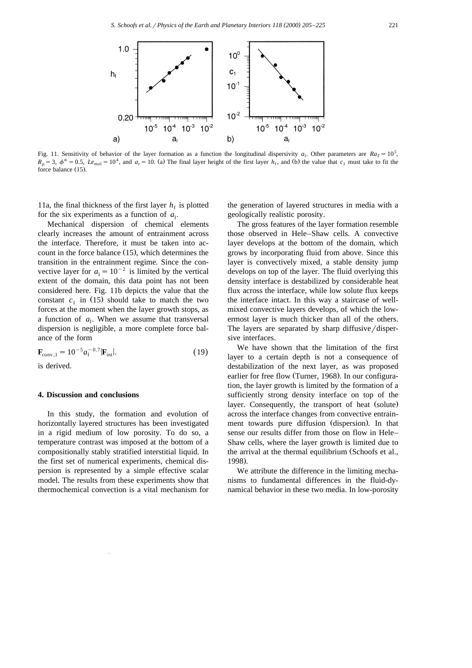

Fig. 11. Sensitivity of behavior of the layer formation as a function the longitudinal dispersivity  $a_1$ . Other parameters are  $Ra_T = 10^5$ ,  $R_{\rho} = 3$ ,  $\phi^* = 0.5$ ,  $L_{\rho} = 10^4$ , and  $a_r = 10$ . (a) The final layer height of the first layer  $h_f$ , and (b) the value that  $c_1$  must take to fit the force balance  $(15)$ .

11a, the final thickness of the first layer  $h_f$  is plotted for the six experiments as a function of  $a_1$ .

Mechanical dispersion of chemical elements clearly increases the amount of entrainment across the interface. Therefore, it must be taken into account in the force balance (15), which determines the transition in the entrainment regime. Since the convective layer for  $a_1 = 10^{-2}$  is limited by the vertical extent of the domain, this data point has not been considered here. Fig. 11b depicts the value that the constant  $c_1$  in (15) should take to match the two forces at the moment when the layer growth stops, as a function of  $a_1$ . When we assume that transversal dispersion is negligible, a more complete force balance of the form

$$
\mathbf{F}_{\text{conv},1} = 10^{-5} a_1^{-0.7} |\mathbf{F}_{\text{int}}|.
$$
\n(19)

is derived.

# **4. Discussion and conclusions**

In this study, the formation and evolution of horizontally layered structures has been investigated in a rigid medium of low porosity. To do so, a temperature contrast was imposed at the bottom of a compositionally stably stratified interstitial liquid. In the first set of numerical experiments, chemical dispersion is represented by a simple effective scalar model. The results from these experiments show that thermochemical convection is a vital mechanism for the generation of layered structures in media with a geologically realistic porosity.

The gross features of the layer formation resemble those observed in Hele–Shaw cells. A convective layer develops at the bottom of the domain, which grows by incorporating fluid from above. Since this layer is convectively mixed, a stable density jump develops on top of the layer. The fluid overlying this density interface is destabilized by considerable heat flux across the interface, while low solute flux keeps the interface intact. In this way a staircase of wellmixed convective layers develops, of which the lowermost layer is much thicker than all of the others. The layers are separated by sharp diffusive/dispersive interfaces.

We have shown that the limitation of the first layer to a certain depth is not a consequence of destabilization of the next layer, as was proposed earlier for free flow (Turner, 1968). In our configuration, the layer growth is limited by the formation of a sufficiently strong density interface on top of the layer. Consequently, the transport of heat (solute) across the interface changes from convective entrainment towards pure diffusion (dispersion). In that sense our results differ from those on flow in Hele– Shaw cells, where the layer growth is limited due to the arrival at the thermal equilibrium (Schoofs et al., 1998).

We attribute the difference in the limiting mechanisms to fundamental differences in the fluid-dynamical behavior in these two media. In low-porosity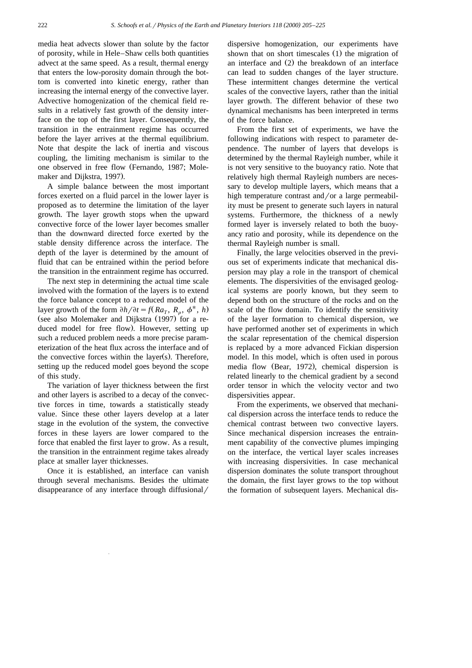media heat advects slower than solute by the factor of porosity, while in Hele–Shaw cells both quantities advect at the same speed. As a result, thermal energy that enters the low-porosity domain through the bottom is converted into kinetic energy, rather than increasing the internal energy of the convective layer. Advective homogenization of the chemical field results in a relatively fast growth of the density interface on the top of the first layer. Consequently, the transition in the entrainment regime has occurred before the layer arrives at the thermal equilibrium. Note that despite the lack of inertia and viscous coupling, the limiting mechanism is similar to the one observed in free flow (Fernando, 1987; Molemaker and Dijkstra, 1997).

A simple balance between the most important forces exerted on a fluid parcel in the lower layer is proposed as to determine the limitation of the layer growth. The layer growth stops when the upward convective force of the lower layer becomes smaller than the downward directed force exerted by the stable density difference across the interface. The depth of the layer is determined by the amount of fluid that can be entrained within the period before the transition in the entrainment regime has occurred.

The next step in determining the actual time scale involved with the formation of the layers is to extend the force balance concept to a reduced model of the layer growth of the form  $\partial h / \partial t = f(Ra_T, R_o, \phi^*, h)$ . (see also Molemaker and Dijkstra (1997) for a reduced model for free flow). However, setting up such a reduced problem needs a more precise parameterization of the heat flux across the interface and of the convective forces within the layer(s). Therefore, setting up the reduced model goes beyond the scope of this study.

The variation of layer thickness between the first and other layers is ascribed to a decay of the convective forces in time, towards a statistically steady value. Since these other layers develop at a later stage in the evolution of the system, the convective forces in these layers are lower compared to the force that enabled the first layer to grow. As a result, the transition in the entrainment regime takes already place at smaller layer thicknesses.

Once it is established, an interface can vanish through several mechanisms. Besides the ultimate disappearance of any interface through diffusional  $\ell$ 

dispersive homogenization, our experiments have shown that on short timescales  $(1)$  the migration of an interface and  $(2)$  the breakdown of an interface can lead to sudden changes of the layer structure. These intermittent changes determine the vertical scales of the convective layers, rather than the initial layer growth. The different behavior of these two dynamical mechanisms has been interpreted in terms of the force balance.

From the first set of experiments, we have the following indications with respect to parameter dependence. The number of layers that develops is determined by the thermal Rayleigh number, while it is not very sensitive to the buoyancy ratio. Note that relatively high thermal Rayleigh numbers are necessary to develop multiple layers, which means that a high temperature contrast and/or a large permeability must be present to generate such layers in natural systems. Furthermore, the thickness of a newly formed layer is inversely related to both the buoyancy ratio and porosity, while its dependence on the thermal Rayleigh number is small.

Finally, the large velocities observed in the previous set of experiments indicate that mechanical dispersion may play a role in the transport of chemical elements. The dispersivities of the envisaged geological systems are poorly known, but they seem to depend both on the structure of the rocks and on the scale of the flow domain. To identify the sensitivity of the layer formation to chemical dispersion, we have performed another set of experiments in which the scalar representation of the chemical dispersion is replaced by a more advanced Fickian dispersion model. In this model, which is often used in porous media flow (Bear, 1972), chemical dispersion is related linearly to the chemical gradient by a second order tensor in which the velocity vector and two dispersivities appear.

From the experiments, we observed that mechanical dispersion across the interface tends to reduce the chemical contrast between two convective layers. Since mechanical dispersion increases the entrainment capability of the convective plumes impinging on the interface, the vertical layer scales increases with increasing dispersivities. In case mechanical dispersion dominates the solute transport throughout the domain, the first layer grows to the top without the formation of subsequent layers. Mechanical dis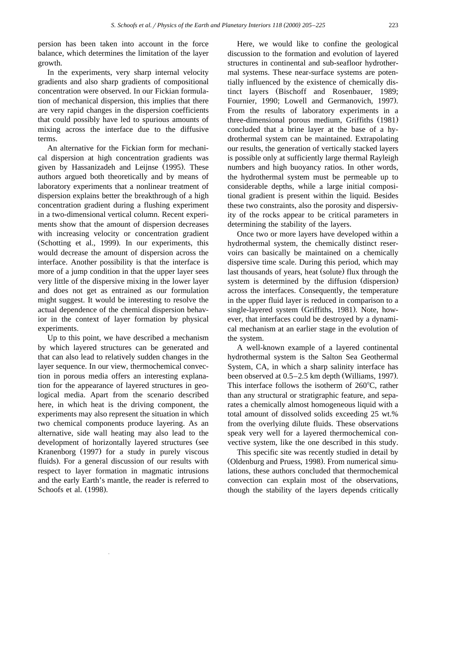persion has been taken into account in the force balance, which determines the limitation of the layer growth.

In the experiments, very sharp internal velocity gradients and also sharp gradients of compositional concentration were observed. In our Fickian formulation of mechanical dispersion, this implies that there are very rapid changes in the dispersion coefficients that could possibly have led to spurious amounts of mixing across the interface due to the diffusive terms.

An alternative for the Fickian form for mechanical dispersion at high concentration gradients was given by Hassanizadeh and Leijnse (1995). These authors argued both theoretically and by means of laboratory experiments that a nonlinear treatment of dispersion explains better the breakthrough of a high concentration gradient during a flushing experiment in a two-dimensional vertical column. Recent experiments show that the amount of dispersion decreases with increasing velocity or concentration gradient (Schotting et al., 1999). In our experiments, this would decrease the amount of dispersion across the interface. Another possibility is that the interface is more of a jump condition in that the upper layer sees very little of the dispersive mixing in the lower layer and does not get as entrained as our formulation might suggest. It would be interesting to resolve the actual dependence of the chemical dispersion behavior in the context of layer formation by physical experiments.

Up to this point, we have described a mechanism by which layered structures can be generated and that can also lead to relatively sudden changes in the layer sequence. In our view, thermochemical convection in porous media offers an interesting explanation for the appearance of layered structures in geological media. Apart from the scenario described here, in which heat is the driving component, the experiments may also represent the situation in which two chemical components produce layering. As an alternative, side wall heating may also lead to the development of horizontally layered structures (see Kranenborg  $(1997)$  for a study in purely viscous fluids). For a general discussion of our results with respect to layer formation in magmatic intrusions and the early Earth's mantle, the reader is referred to Schoofs et al. (1998).

Here, we would like to confine the geological discussion to the formation and evolution of layered structures in continental and sub-seafloor hydrothermal systems. These near-surface systems are potentially influenced by the existence of chemically distinct layers (Bischoff and Rosenbauer, 1989; Fournier, 1990; Lowell and Germanovich, 1997). From the results of laboratory experiments in a three-dimensional porous medium, Griffiths (1981) concluded that a brine layer at the base of a hydrothermal system can be maintained. Extrapolating our results, the generation of vertically stacked layers is possible only at sufficiently large thermal Rayleigh numbers and high buoyancy ratios. In other words, the hydrothermal system must be permeable up to considerable depths, while a large initial compositional gradient is present within the liquid. Besides these two constraints, also the porosity and dispersivity of the rocks appear to be critical parameters in determining the stability of the layers.

Once two or more layers have developed within a hydrothermal system, the chemically distinct reservoirs can basically be maintained on a chemically dispersive time scale. During this period, which may last thousands of years, heat (solute) flux through the system is determined by the diffusion (dispersion) across the interfaces. Consequently, the temperature in the upper fluid layer is reduced in comparison to a single-layered system (Griffiths, 1981). Note, however, that interfaces could be destroyed by a dynamical mechanism at an earlier stage in the evolution of the system.

A well-known example of a layered continental hydrothermal system is the Salton Sea Geothermal System, CA, in which a sharp salinity interface has been observed at  $0.5-2.5$  km depth (Williams, 1997). This interface follows the isotherm of  $260^{\circ}$ C, rather than any structural or stratigraphic feature, and separates a chemically almost homogeneous liquid with a total amount of dissolved solids exceeding 25 wt.% from the overlying dilute fluids. These observations speak very well for a layered thermochemical convective system, like the one described in this study.

This specific site was recently studied in detail by (Oldenburg and Pruess, 1998). From numerical simulations, these authors concluded that thermochemical convection can explain most of the observations, though the stability of the layers depends critically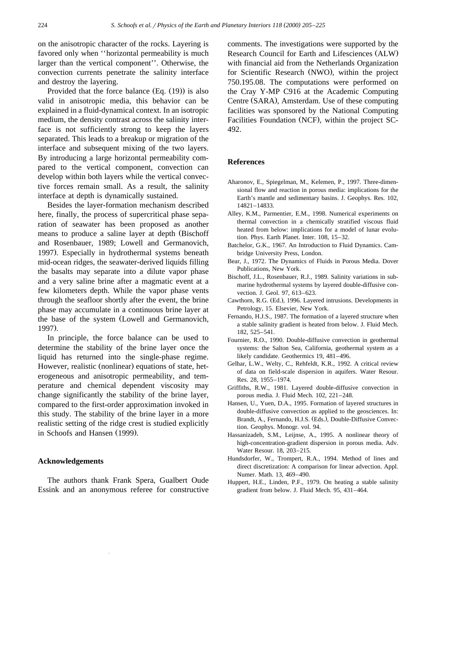on the anisotropic character of the rocks. Layering is favored only when ''horizontal permeability is much larger than the vertical component''. Otherwise, the convection currents penetrate the salinity interface and destroy the layering.

Provided that the force balance  $(Eq. (19))$  is also valid in anisotropic media, this behavior can be explained in a fluid-dynamical context. In an isotropic medium, the density contrast across the salinity interface is not sufficiently strong to keep the layers separated. This leads to a breakup or migration of the interface and subsequent mixing of the two layers. By introducing a large horizontal permeability compared to the vertical component, convection can develop within both layers while the vertical convective forces remain small. As a result, the salinity interface at depth is dynamically sustained.

Besides the layer-formation mechanism described here, finally, the process of supercritical phase separation of seawater has been proposed as another means to produce a saline layer at depth (Bischoff and Rosenbauer, 1989; Lowell and Germanovich, 1997). Especially in hydrothermal systems beneath mid-ocean ridges, the seawater-derived liquids filling the basalts may separate into a dilute vapor phase and a very saline brine after a magmatic event at a few kilometers depth. While the vapor phase vents through the seafloor shortly after the event, the brine phase may accumulate in a continuous brine layer at the base of the system (Lowell and Germanovich, 1997).

In principle, the force balance can be used to determine the stability of the brine layer once the liquid has returned into the single-phase regime. However, realistic (nonlinear) equations of state, heterogeneous and anisotropic permeability, and temperature and chemical dependent viscosity may change significantly the stability of the brine layer, compared to the first-order approximation invoked in this study. The stability of the brine layer in a more realistic setting of the ridge crest is studied explicitly in Schoofs and Hansen (1999).

## **Acknowledgements**

The authors thank Frank Spera, Gualbert Oude Essink and an anonymous referee for constructive comments. The investigations were supported by the Research Council for Earth and Lifesciences (ALW) with financial aid from the Netherlands Organization for Scientific Research (NWO), within the project 750.195.08. The computations were performed on the Cray Y-MP C916 at the Academic Computing Centre (SARA), Amsterdam. Use of these computing facilities was sponsored by the National Computing Facilities Foundation (NCF), within the project SC-492.

# **References**

- Aharonov, E., Spiegelman, M., Kelemen, P., 1997. Three-dimensional flow and reaction in porous media: implications for the Earth's mantle and sedimentary basins. J. Geophys. Res. 102, 14821–14833.
- Alley, K.M., Parmentier, E.M., 1998. Numerical experiments on thermal convection in a chemically stratified viscous fluid heated from below: implications for a model of lunar evolution. Phys. Earth Planet. Inter. 108, 15–32.
- Batchelor, G.K., 1967. An Introduction to Fluid Dynamics. Cambridge University Press, London.
- Bear, J., 1972. The Dynamics of Fluids in Porous Media. Dover Publications, New York.
- Bischoff, J.L., Rosenbauer, R.J., 1989. Salinity variations in submarine hydrothermal systems by layered double-diffusive convection. J. Geol. 97, 613–623.
- Cawthorn, R.G. (Ed.), 1996. Layered intrusions. Developments in Petrology, 15. Elsevier, New York.
- Fernando, H.J.S., 1987. The formation of a layered structure when a stable salinity gradient is heated from below. J. Fluid Mech. 182, 525–541.
- Fournier, R.O., 1990. Double-diffusive convection in geothermal systems: the Salton Sea, California, geothermal system as a likely candidate. Geothermics 19, 481–496.
- Gelhar, L.W., Welty, C., Rehfeldt, K.R., 1992. A critical review of data on field-scale dispersion in aquifers. Water Resour. Res. 28, 1955–1974.
- Griffiths, R.W., 1981. Layered double-diffusive convection in porous media. J. Fluid Mech. 102, 221–248.
- Hansen, U., Yuen, D.A., 1995. Formation of layered structures in double-diffusive convection as applied to the geosciences. In: Brandt, A., Fernando, H.J.S. (Eds.), Double-Diffusive Convection. Geophys. Monogr. vol. 94.
- Hassanizadeh, S.M., Leijnse, A., 1995. A nonlinear theory of high-concentration-gradient dispersion in porous media. Adv. Water Resour. 18, 203–215.
- Hundsdorfer, W., Trompert, R.A., 1994. Method of lines and direct discretization: A comparison for linear advection. Appl. Numer. Math. 13, 469–490.
- Huppert, H.E., Linden, P.F., 1979. On heating a stable salinity gradient from below. J. Fluid Mech. 95, 431–464.